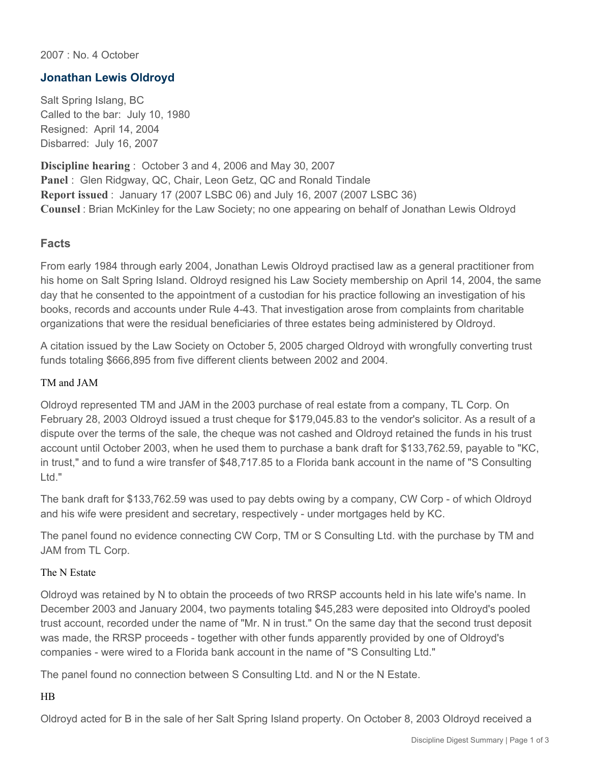2007 : No. 4 October

# **Jonathan Lewis Oldroyd**

Salt Spring Islang, BC Called to the bar: July 10, 1980 Resigned: April 14, 2004 Disbarred: July 16, 2007

**Discipline hearing** : October 3 and 4, 2006 and May 30, 2007 **Panel** : Glen Ridgway, QC, Chair, Leon Getz, QC and Ronald Tindale **Report issued** : January 17 (2007 LSBC 06) and July 16, 2007 (2007 LSBC 36) **Counsel** : Brian McKinley for the Law Society; no one appearing on behalf of Jonathan Lewis Oldroyd

### **Facts**

From early 1984 through early 2004, Jonathan Lewis Oldroyd practised law as a general practitioner from his home on Salt Spring Island. Oldroyd resigned his Law Society membership on April 14, 2004, the same day that he consented to the appointment of a custodian for his practice following an investigation of his books, records and accounts under Rule 4-43. That investigation arose from complaints from charitable organizations that were the residual beneficiaries of three estates being administered by Oldroyd.

A citation issued by the Law Society on October 5, 2005 charged Oldroyd with wrongfully converting trust funds totaling \$666,895 from five different clients between 2002 and 2004.

#### TM and JAM

Oldroyd represented TM and JAM in the 2003 purchase of real estate from a company, TL Corp. On February 28, 2003 Oldroyd issued a trust cheque for \$179,045.83 to the vendor's solicitor. As a result of a dispute over the terms of the sale, the cheque was not cashed and Oldroyd retained the funds in his trust account until October 2003, when he used them to purchase a bank draft for \$133,762.59, payable to "KC, in trust," and to fund a wire transfer of \$48,717.85 to a Florida bank account in the name of "S Consulting Ltd."

The bank draft for \$133,762.59 was used to pay debts owing by a company, CW Corp - of which Oldroyd and his wife were president and secretary, respectively - under mortgages held by KC.

The panel found no evidence connecting CW Corp, TM or S Consulting Ltd. with the purchase by TM and JAM from TL Corp.

#### The N Estate

Oldroyd was retained by N to obtain the proceeds of two RRSP accounts held in his late wife's name. In December 2003 and January 2004, two payments totaling \$45,283 were deposited into Oldroyd's pooled trust account, recorded under the name of "Mr. N in trust." On the same day that the second trust deposit was made, the RRSP proceeds - together with other funds apparently provided by one of Oldroyd's companies - were wired to a Florida bank account in the name of "S Consulting Ltd."

The panel found no connection between S Consulting Ltd. and N or the N Estate.

### HB

Oldroyd acted for B in the sale of her Salt Spring Island property. On October 8, 2003 Oldroyd received a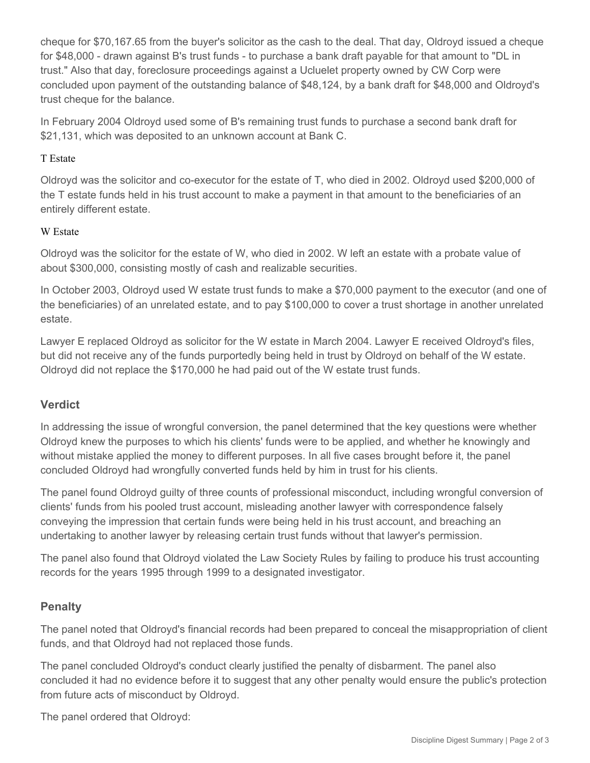cheque for \$70,167.65 from the buyer's solicitor as the cash to the deal. That day, Oldroyd issued a cheque for \$48,000 - drawn against B's trust funds - to purchase a bank draft payable for that amount to "DL in trust." Also that day, foreclosure proceedings against a Ucluelet property owned by CW Corp were concluded upon payment of the outstanding balance of \$48,124, by a bank draft for \$48,000 and Oldroyd's trust cheque for the balance.

In February 2004 Oldroyd used some of B's remaining trust funds to purchase a second bank draft for \$21,131, which was deposited to an unknown account at Bank C.

### T Estate

Oldroyd was the solicitor and co-executor for the estate of T, who died in 2002. Oldroyd used \$200,000 of the T estate funds held in his trust account to make a payment in that amount to the beneficiaries of an entirely different estate.

#### W Estate

Oldroyd was the solicitor for the estate of W, who died in 2002. W left an estate with a probate value of about \$300,000, consisting mostly of cash and realizable securities.

In October 2003, Oldroyd used W estate trust funds to make a \$70,000 payment to the executor (and one of the beneficiaries) of an unrelated estate, and to pay \$100,000 to cover a trust shortage in another unrelated estate.

Lawyer E replaced Oldroyd as solicitor for the W estate in March 2004. Lawyer E received Oldroyd's files, but did not receive any of the funds purportedly being held in trust by Oldroyd on behalf of the W estate. Oldroyd did not replace the \$170,000 he had paid out of the W estate trust funds.

# **Verdict**

In addressing the issue of wrongful conversion, the panel determined that the key questions were whether Oldroyd knew the purposes to which his clients' funds were to be applied, and whether he knowingly and without mistake applied the money to different purposes. In all five cases brought before it, the panel concluded Oldroyd had wrongfully converted funds held by him in trust for his clients.

The panel found Oldroyd guilty of three counts of professional misconduct, including wrongful conversion of clients' funds from his pooled trust account, misleading another lawyer with correspondence falsely conveying the impression that certain funds were being held in his trust account, and breaching an undertaking to another lawyer by releasing certain trust funds without that lawyer's permission.

The panel also found that Oldroyd violated the Law Society Rules by failing to produce his trust accounting records for the years 1995 through 1999 to a designated investigator.

# **Penalty**

The panel noted that Oldroyd's financial records had been prepared to conceal the misappropriation of client funds, and that Oldroyd had not replaced those funds.

The panel concluded Oldroyd's conduct clearly justified the penalty of disbarment. The panel also concluded it had no evidence before it to suggest that any other penalty would ensure the public's protection from future acts of misconduct by Oldroyd.

The panel ordered that Oldroyd: